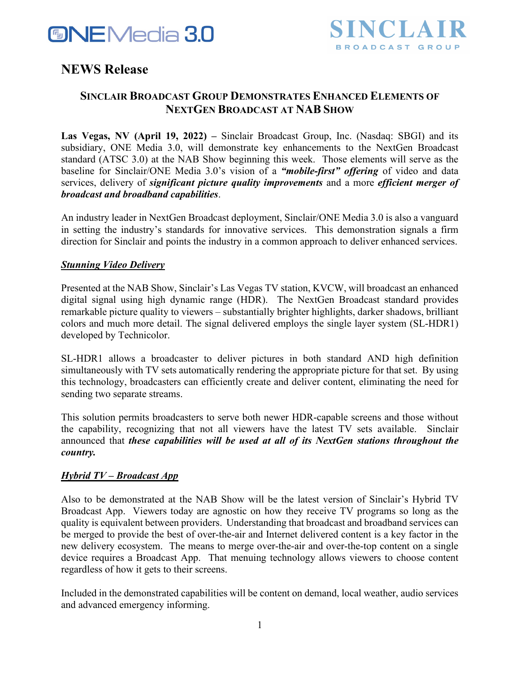



# **NEWS Release**

## **SINCLAIR BROADCAST GROUP DEMONSTRATES ENHANCED ELEMENTS OF NEXTGEN BROADCAST AT NAB SHOW**

**Las Vegas, NV (April 19, 2022) –** Sinclair Broadcast Group, Inc. (Nasdaq: SBGI) and its subsidiary, ONE Media 3.0, will demonstrate key enhancements to the NextGen Broadcast standard (ATSC 3.0) at the NAB Show beginning this week. Those elements will serve as the baseline for Sinclair/ONE Media 3.0's vision of a *"mobile-first" offering* of video and data services, delivery of *significant picture quality improvements* and a more *efficient merger of broadcast and broadband capabilities*.

An industry leader in NextGen Broadcast deployment, Sinclair/ONE Media 3.0 is also a vanguard in setting the industry's standards for innovative services. This demonstration signals a firm direction for Sinclair and points the industry in a common approach to deliver enhanced services.

## *Stunning Video Delivery*

Presented at the NAB Show, Sinclair's Las Vegas TV station, KVCW, will broadcast an enhanced digital signal using high dynamic range (HDR). The NextGen Broadcast standard provides remarkable picture quality to viewers – substantially brighter highlights, darker shadows, brilliant colors and much more detail. The signal delivered employs the single layer system (SL-HDR1) developed by Technicolor.

SL-HDR1 allows a broadcaster to deliver pictures in both standard AND high definition simultaneously with TV sets automatically rendering the appropriate picture for that set. By using this technology, broadcasters can efficiently create and deliver content, eliminating the need for sending two separate streams.

This solution permits broadcasters to serve both newer HDR-capable screens and those without the capability, recognizing that not all viewers have the latest TV sets available. Sinclair announced that *these capabilities will be used at all of its NextGen stations throughout the country.*

## *Hybrid TV – Broadcast App*

Also to be demonstrated at the NAB Show will be the latest version of Sinclair's Hybrid TV Broadcast App. Viewers today are agnostic on how they receive TV programs so long as the quality is equivalent between providers. Understanding that broadcast and broadband services can be merged to provide the best of over-the-air and Internet delivered content is a key factor in the new delivery ecosystem. The means to merge over-the-air and over-the-top content on a single device requires a Broadcast App. That menuing technology allows viewers to choose content regardless of how it gets to their screens.

Included in the demonstrated capabilities will be content on demand, local weather, audio services and advanced emergency informing.